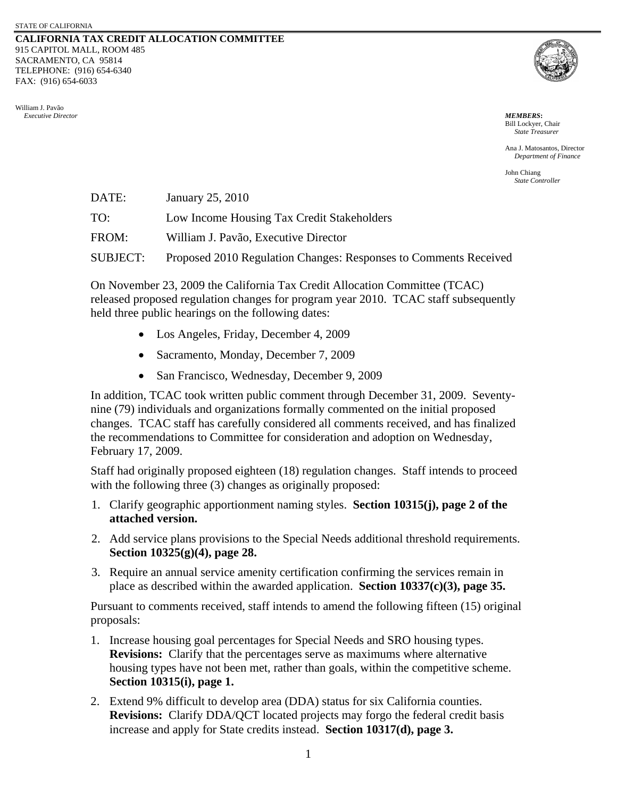## **CALIFORNIA TAX CREDIT ALLOCATION COMMITTEE** 915 CAPITOL MALL, ROOM 485 SACRAMENTO, CA 95814 TELEPHONE: (916) 654-6340 FAX: (916) 654-6033





Bill Lockyer, Chair *State Treasurer*

Ana J. Matosantos, Director *Department of Finance* 

John Chiang *State Controller*

| DATE:    | January 25, 2010                                                 |
|----------|------------------------------------------------------------------|
| TO:      | Low Income Housing Tax Credit Stakeholders                       |
| FROM:    | William J. Pavão, Executive Director                             |
| SUBJECT: | Proposed 2010 Regulation Changes: Responses to Comments Received |
|          |                                                                  |

On November 23, 2009 the California Tax Credit Allocation Committee (TCAC) released proposed regulation changes for program year 2010. TCAC staff subsequently held three public hearings on the following dates:

- Los Angeles, Friday, December 4, 2009
- Sacramento, Monday, December 7, 2009
- San Francisco, Wednesday, December 9, 2009

In addition, TCAC took written public comment through December 31, 2009. Seventynine (79) individuals and organizations formally commented on the initial proposed changes. TCAC staff has carefully considered all comments received, and has finalized the recommendations to Committee for consideration and adoption on Wednesday, February 17, 2009.

Staff had originally proposed eighteen (18) regulation changes. Staff intends to proceed with the following three (3) changes as originally proposed:

- 1. Clarify geographic apportionment naming styles. **Section 10315(j), page 2 of the attached version.**
- 2. Add service plans provisions to the Special Needs additional threshold requirements. **Section 10325(g)(4), page 28.**
- 3. Require an annual service amenity certification confirming the services remain in place as described within the awarded application. **Section 10337(c)(3), page 35.**

Pursuant to comments received, staff intends to amend the following fifteen (15) original proposals:

- 1. Increase housing goal percentages for Special Needs and SRO housing types. **Revisions:** Clarify that the percentages serve as maximums where alternative housing types have not been met, rather than goals, within the competitive scheme. **Section 10315(i), page 1.**
- 2. Extend 9% difficult to develop area (DDA) status for six California counties. **Revisions:** Clarify DDA/QCT located projects may forgo the federal credit basis increase and apply for State credits instead. **Section 10317(d), page 3.**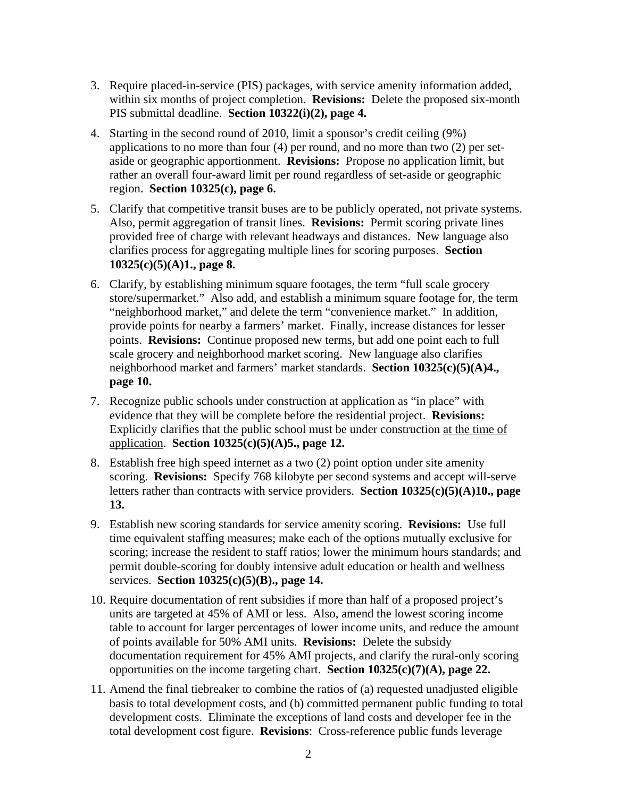- 3. Require placed-in-service (PIS) packages, with service amenity information added, within six months of project completion. **Revisions:** Delete the proposed six-month PIS submittal deadline. **Section 10322(i)(2), page 4.**
- 4. Starting in the second round of 2010, limit a sponsor's credit ceiling (9%) applications to no more than four (4) per round, and no more than two (2) per setaside or geographic apportionment. **Revisions:** Propose no application limit, but rather an overall four-award limit per round regardless of set-aside or geographic region. **Section 10325(c), page 6.**
- 5. Clarify that competitive transit buses are to be publicly operated, not private systems. Also, permit aggregation of transit lines. **Revisions:** Permit scoring private lines provided free of charge with relevant headways and distances. New language also clarifies process for aggregating multiple lines for scoring purposes. **Section 10325(c)(5)(A)1., page 8.**
- 6. Clarify, by establishing minimum square footages, the term "full scale grocery store/supermarket." Also add, and establish a minimum square footage for, the term "neighborhood market," and delete the term "convenience market." In addition, provide points for nearby a farmers' market.Finally, increase distances for lesser points. **Revisions:** Continue proposed new terms, but add one point each to full scale grocery and neighborhood market scoring. New language also clarifies neighborhood market and farmers' market standards. **Section 10325(c)(5)(A)4., page 10.**
- 7. Recognize public schools under construction at application as "in place" with evidence that they will be complete before the residential project. **Revisions:**  Explicitly clarifies that the public school must be under construction at the time of application. **Section 10325(c)(5)(A)5., page 12.**
- 8. Establish free high speed internet as a two (2) point option under site amenity scoring. **Revisions:** Specify 768 kilobyte per second systems and accept will-serve letters rather than contracts with service providers. **Section 10325(c)(5)(A)10., page 13.**
- 9. Establish new scoring standards for service amenity scoring. **Revisions:** Use full time equivalent staffing measures; make each of the options mutually exclusive for scoring; increase the resident to staff ratios; lower the minimum hours standards; and permit double-scoring for doubly intensive adult education or health and wellness services. **Section 10325(c)(5)(B)., page 14.**
- 10. Require documentation of rent subsidies if more than half of a proposed project's units are targeted at 45% of AMI or less. Also, amend the lowest scoring income table to account for larger percentages of lower income units, and reduce the amount of points available for 50% AMI units. **Revisions:** Delete the subsidy documentation requirement for 45% AMI projects, and clarify the rural-only scoring opportunities on the income targeting chart. **Section 10325(c)(7)(A), page 22.**
- 11. Amend the final tiebreaker to combine the ratios of (a) requested unadjusted eligible basis to total development costs, and (b) committed permanent public funding to total development costs. Eliminate the exceptions of land costs and developer fee in the total development cost figure. **Revisions**: Cross-reference public funds leverage